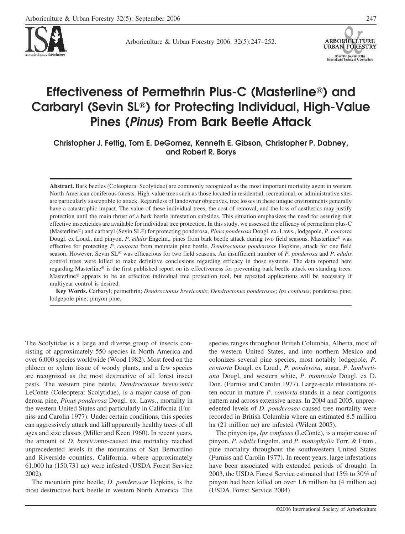

Arboriculture & Urban Forestry 2006. 32(5):247–252.



# **Effectiveness of Permethrin Plus-C (Masterline) and Carbaryl (Sevin SL) for Protecting Individual, High-Value Pines (***Pinus***) From Bark Beetle Attack**

**Christopher J. Fettig, Tom E. DeGomez, Kenneth E. Gibson, Christopher P. Dabney, and Robert R. Borys**

**Abstract.** Bark beetles (Coleoptera: Scolytidae) are commonly recognized as the most important mortality agent in western North American coniferous forests. High-value trees such as those located in residential, recreational, or administrative sites are particularly susceptible to attack. Regardless of landowner objectives, tree losses in these unique environments generally have a catastrophic impact. The value of these individual trees, the cost of removal, and the loss of aesthetics may justify protection until the main thrust of a bark beetle infestation subsides. This situation emphasizes the need for assuring that effective insecticides are available for individual tree protection. In this study, we assessed the efficacy of permethrin plus-C (Masterline®) and carbaryl (Sevin SL®) for protecting ponderosa, *Pinus ponderosa* Dougl. ex. Laws., lodgepole, *P. contorta* Dougl. ex Loud., and pinyon, P. *edulis* Engelm., pines from bark beetle attack during two field seasons. Masterline® was effective for protecting *P*. *contorta* from mountain pine beetle, *Dendroctonus ponderosae* Hopkins, attack for one field season. However, Sevin SL® was efficacious for two field seasons. An insufficient number of *P. ponderosa* and *P. edulis* control trees were killed to make definitive conclusions regarding efficacy in those systems. The data reported here regarding Masterline® is the first published report on its effectiveness for preventing bark beetle attack on standing trees. Masterline<sup>®</sup> appears to be an effective individual tree protection tool, but repeated applications will be necessary if multiyear control is desired.

**Key Words.** Carbaryl; permethrin; *Dendroctonus brevicomis*; *Dendroctonus ponderosae*; *Ips confusus*; ponderosa pine; lodgepole pine; pinyon pine.

The Scolytidae is a large and diverse group of insects consisting of approximately 550 species in North America and over 6,000 species worldwide (Wood 1982). Most feed on the phloem or xylem tissue of woody plants, and a few species are recognized as the most destructive of all forest insect pests. The western pine beetle, *Dendroctonus brevicomis* LeConte (Coleoptera: Scolytidae), is a major cause of ponderosa pine, *Pinus ponderosa* Dougl. ex. Laws., mortality in the western United States and particularly in California (Furniss and Carolin 1977). Under certain conditions, this species can aggressively attack and kill apparently healthy trees of all ages and size classes (Miller and Keen 1960). In recent years, the amount of *D*. *brevicomis*-caused tree mortality reached unprecedented levels in the mountains of San Bernardino and Riverside counties, California, where approximately 61,000 ha (150,731 ac) were infested (USDA Forest Service 2002).

The mountain pine beetle, *D*. *ponderosae* Hopkins, is the most destructive bark beetle in western North America. The species ranges throughout British Columbia, Alberta, most of the western United States, and into northern Mexico and colonizes several pine species, most notably lodgepole, *P*. *contorta* Dougl. ex Loud., *P*. *ponderosa*, sugar, *P*. *lambertiana* Dougl, and western white, *P*. *monticola* Dougl. ex D. Don. (Furniss and Carolin 1977). Large-scale infestations often occur in mature *P*. *contorta* stands in a near contiguous pattern and across extensive areas. In 2004 and 2005, unprecedented levels of *D*. *ponderosae*-caused tree mortality were recorded in British Columbia where an estimated 8.5 million ha (21 million ac) are infested (Wilent 2005).

The pinyon ips, *Ips confusus* (LeConte), is a major cause of pinyon, *P*. *edulis* Engelm. and *P*. *monophylla* Torr. & Frem., pine mortality throughout the southwestern United States (Furniss and Carolin 1977). In recent years, large infestations have been associated with extended periods of drought. In 2003, the USDA Forest Service estimated that 15% to 30% of pinyon had been killed on over 1.6 million ha (4 million ac) (USDA Forest Service 2004).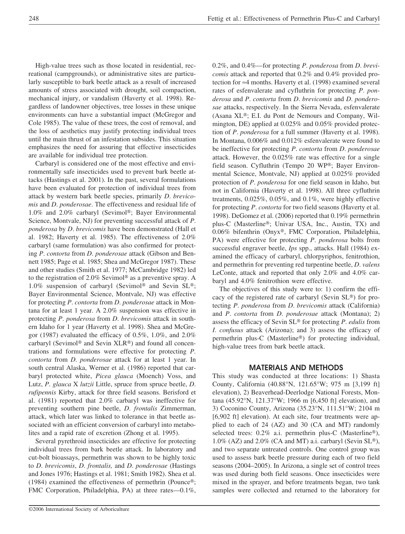High-value trees such as those located in residential, recreational (campgrounds), or administrative sites are particularly susceptible to bark beetle attack as a result of increased amounts of stress associated with drought, soil compaction, mechanical injury, or vandalism (Haverty et al. 1998). Regardless of landowner objectives, tree losses in these unique environments can have a substantial impact (McGregor and Cole 1985). The value of these trees, the cost of removal, and the loss of aesthetics may justify protecting individual trees until the main thrust of an infestation subsides. This situation emphasizes the need for assuring that effective insecticides are available for individual tree protection.

Carbaryl is considered one of the most effective and environmentally safe insecticides used to prevent bark beetle attacks (Hastings et al. 2001). In the past, several formulations have been evaluated for protection of individual trees from attack by western bark beetle species, primarily *D*. *brevicomis* and *D*. *ponderosae*. The effectiveness and residual life of 1.0% and 2.0% carbaryl (Sevimol®; Bayer Environmental Science, Montvale, NJ) for preventing successful attack of *P*. *ponderosa* by *D*. *brevicomis* have been demonstrated (Hall et al. 1982; Haverty et al. 1985). The effectiveness of 2.0% carbaryl (same formulation) was also confirmed for protecting *P*. *contorta* from *D*. *ponderosae* attack (Gibson and Bennett 1985; Page et al. 1985; Shea and McGregor 1987). These and other studies (Smith et al. 1977; McCambridge 1982) led to the registration of 2.0% Sevimol<sup>®</sup> as a preventive spray. A 1.0% suspension of carbaryl (Sevimol® and Sevin SL®; Bayer Environmental Science, Montvale, NJ) was effective for protecting *P*. *contorta* from *D*. *ponderosae* attack in Montana for at least 1 year. A 2.0% suspension was effective in protecting *P*. *ponderosa* from *D*. *brevicomis* attack in southern Idaho for 1 year (Haverty et al. 1998). Shea and McGregor (1987) evaluated the efficacy of 0.5%, 1.0%, and 2.0% carbaryl (Sevimol<sup>®</sup> and Sevin XLR®) and found all concentrations and formulations were effective for protecting *P*. *contorta* from *D*. *ponderosae* attack for at least 1 year. In south central Alaska, Werner et al. (1986) reported that carbaryl protected white, *Picea glauca* (Moench) Voss, and Lutz, *P*. *glauca* X *lutzii* Little, spruce from spruce beetle, *D*. *rufipennis* Kirby, attack for three field seasons. Berisford et al. (1981) reported that 2.0% carbaryl was ineffective for preventing southern pine beetle, *D*. *frontalis* Zimmerman, attack, which later was linked to tolerance in that beetle associated with an efficient conversion of carbaryl into metabolites and a rapid rate of excretion (Zhong et al. 1995).

Several pyrethroid insecticides are effective for protecting individual trees from bark beetle attack. In laboratory and cut-bolt bioassays, permethrin was shown to be highly toxic to *D*. *brevicomis*, *D*. *frontalis,* and *D*. *ponderosae* (Hastings and Jones 1976; Hastings et al. 1981; Smith 1982). Shea et al. (1984) examined the effectiveness of permethrin (Pounce®; FMC Corporation, Philadelphia, PA) at three rates—0.1%,

0.2%, and 0.4%—for protecting *P*. *ponderosa* from *D*. *brevicomis* attack and reported that 0.2% and 0.4% provided protection for ≈4 months. Haverty et al. (1998) examined several rates of esfenvalerate and cyfluthrin for protecting *P*. *ponderosa* and *P*. *contorta* from *D*. *brevicomis* and *D*. *ponderosae* attacks, respectively. In the Sierra Nevada, esfenvalerate (Asana XL®; E.I. du Pont de Nemours and Company, Wilmington, DE) applied at 0.025% and 0.05% provided protection of *P*. *ponderosa* for a full summer (Haverty et al. 1998). In Montana, 0.006% and 0.012% esfenvalerate were found to be ineffective for protecting *P*. *contorta* from *D*. *ponderosae* attack. However, the 0.025% rate was effective for a single field season. Cyfluthrin (Tempo 20 WP®; Bayer Environmental Science, Montvale, NJ) applied at 0.025% provided protection of *P*. *ponderosa* for one field season in Idaho, but not in California (Haverty et al. 1998). All three cyfluthrin treatments, 0.025%, 0.05%, and 0.1%, were highly effective for protecting *P*. *contorta* for two field seasons (Haverty et al. 1998). DeGomez et al. (2006) reported that 0.19% permethrin plus-C (Masterline®; Univar USA, Inc., Austin, TX) and 0.06% bifenthrin (Onyx®, FMC Corporation, Philadelphia, PA) were effective for protecting *P*. *ponderosa* bolts from successful engraver beetle, *Ips* spp., attacks. Hall (1984) examined the efficacy of carbaryl, chlorpyriphos, fenitrothion, and permethrin for preventing red turpentine beetle, *D*. *valens* LeConte, attack and reported that only 2.0% and 4.0% carbaryl and 4.0% fenitrothion were effective.

The objectives of this study were to: 1) confirm the efficacy of the registered rate of carbaryl (Sevin SL®) for protecting *P*. *ponderosa* from *D*. *brevicomis* attack (California) and *P*. *contorta* from *D*. *ponderosae* attack (Montana); 2) assess the efficacy of Sevin SL® for protecting *P. edulis* from *I*. *confusus* attack (Arizona); and 3) assess the efficacy of permethrin plus-C (Masterline®) for protecting individual, high-value trees from bark beetle attack.

#### **MATERIALS AND METHODS**

This study was conducted at three locations: 1) Shasta County, California (40.88°N, 121.65°W; 975 m [3,199 ft] elevation), 2) Beaverhead-Deerlodge National Forests, Montana (45.92°N, 121.37°W; 1966 m [6,450 ft] elevation), and 3) Coconino County, Arizona (35.23°N, 111.51°W; 2104 m [6,902 ft] elevation). At each site, four treatments were applied to each of 24 (AZ) and 30 (CA and MT) randomly selected trees: 0.2% a.i. permethrin plus-C (Masterline®), 1.0% (AZ) and 2.0% (CA and MT) a.i. carbaryl (Sevin SL®), and two separate untreated controls. One control group was used to assess bark beetle pressure during each of two field seasons (2004–2005). In Arizona, a single set of control trees was used during both field seasons. Once insecticides were mixed in the sprayer, and before treatments began, two tank samples were collected and returned to the laboratory for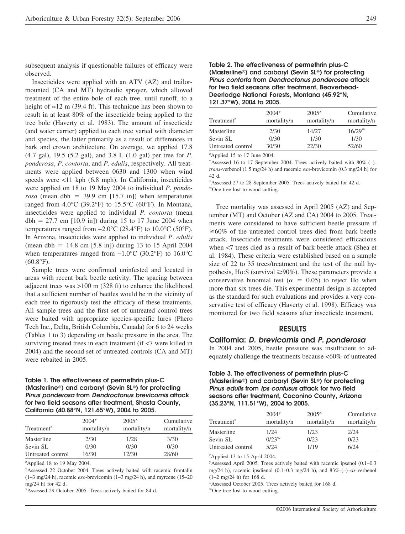subsequent analysis if questionable failures of efficacy were observed.

Insecticides were applied with an ATV (AZ) and trailormounted (CA and MT) hydraulic sprayer, which allowed treatment of the entire bole of each tree, until runoff, to a height of  $\approx$ 12 m (39.4 ft). This technique has been shown to result in at least 80% of the insecticide being applied to the tree bole (Haverty et al. 1983). The amount of insecticide (and water carrier) applied to each tree varied with diameter and species, the latter primarily as a result of differences in bark and crown architecture. On average, we applied 17.8 (4.7 gal), 19.5 (5.2 gal), and 3.8 L (1.0 gal) per tree for *P*. *ponderosa*, *P*. *contorta*, and *P*. *edulis*, respectively. All treatments were applied between 0630 and 1300 when wind speeds were <11 kph (6.8 mph). In California, insecticides were applied on 18 to 19 May 2004 to individual *P*. *ponderosa* (mean dbh = 39.9 cm  $[15.7 \text{ in}]$ ) when temperatures ranged from  $4.0^{\circ}$ C (39.2°F) to 15.5°C (60°F). In Montana, insecticides were applied to individual *P*. *contorta* (mean  $dbh = 27.7$  cm  $[10.9 \text{ in}])$  during 15 to 17 June 2004 when temperatures ranged from  $-2.0^{\circ}$ C (28.4°F) to 10.0°C (50°F). In Arizona, insecticides were applied to individual *P*. *edulis* (mean dbh  $= 14.8$  cm  $[5.8 \text{ in}]$ ) during 13 to 15 April 2004 when temperatures ranged from −1.0°C (30.2°F) to 16.0°C  $(60.8^{\circ}F).$ 

Sample trees were confirmed uninfested and located in areas with recent bark beetle activity. The spacing between adjacent trees was >100 m (328 ft) to enhance the likelihood that a sufficient number of beetles would be in the vicinity of each tree to rigorously test the efficacy of these treatments. All sample trees and the first set of untreated control trees were baited with appropriate species-specific lures (Phero Tech Inc., Delta, British Columbia, Canada) for 6 to 24 weeks (Tables 1 to 3) depending on beetle pressure in the area. The surviving treated trees in each treatment (if <7 were killed in 2004) and the second set of untreated controls (CA and MT) were rebaited in 2005.

#### **Table 1. The effectiveness of permethrin plus-C (Masterline) and carbaryl (Sevin SL) for protecting** *Pinus ponderosa* **from** *Dendroctonus brevicomis* **attack for two field seasons after treatment, Shasta County, California (40.88°N, 121.65°W), 2004 to 2005.**

| Treatment <sup>z</sup> | 2004 <sup>y</sup><br>mortality/n | $2005^x$<br>mortality/n | Cumulative<br>mortality/n |  |
|------------------------|----------------------------------|-------------------------|---------------------------|--|
| Masterline             | 2/30                             | 1/28                    | 3/30                      |  |
| Sevin SL               | 0/30                             | 0/30                    | 0/30                      |  |
| Untreated control      | 16/30                            | 12/30                   | 28/60                     |  |

z Applied 18 to 19 May 2004.

<sup>y</sup>Assessed 22 October 2004. Trees actively baited with racemic frontalin (1–3 mg/24 h), racemic *exo*-brevicomin (1–3 mg/24 h), and myrcene (15–20 mg/24 h) for 42 d.

x Assessed 29 October 2005. Trees actively baited for 84 d.

#### **Table 2. The effectiveness of permethrin plus-C (Masterline) and carbaryl (Sevin SL) for protecting** *Pinus contorta* **from** *Dendroctonus ponderosae* **attack for two field seasons after treatment, Beaverhead-Deerlodge National Forests, Montana (45.92°N, 121.37°W), 2004 to 2005.**

| Treatment <sup>z</sup> | 2004 <sup>y</sup><br>mortality/n | $2005^x$<br>mortality/n | Cumulative<br>mortality/n |
|------------------------|----------------------------------|-------------------------|---------------------------|
| Masterline             | 2/30                             | 14/27                   | $16/29^{w}$               |
| Sevin SL               | 0/30                             | 1/30                    | 1/30                      |
| Untreated control      | 30/30                            | 22/30                   | 52/60                     |

z Applied 15 to 17 June 2004.

<sup>y</sup>Assessed 16 to 17 September 2004. Trees actively baited with 80%-(-)*trans*-verbenol (1.5 mg/24 h) and racemic *exo*-brevicomin (0.3 mg/24 h) for 42 d.

x Assessed 27 to 28 September 2005. Trees actively baited for 42 d. wOne tree lost to wood cutting.

Tree mortality was assessed in April 2005 (AZ) and September (MT) and October (AZ and CA) 2004 to 2005. Treatments were considered to have sufficient beetle pressure if  $\geq 60\%$  of the untreated control trees died from bark beetle attack. Insecticide treatments were considered efficacious when <7 trees died as a result of bark beetle attack (Shea et al. 1984). These criteria were established based on a sample size of 22 to 35 trees/treatment and the test of the null hypothesis, Ho:S (survival  $\geq 90\%$ ). These parameters provide a conservative binomial test ( $\alpha = 0.05$ ) to reject Ho when more than six trees die. This experimental design is accepted as the standard for such evaluations and provides a very conservative test of efficacy (Haverty et al. 1998). Efficacy was monitored for two field seasons after insecticide treatment.

#### **RESULTS**

#### **California:** *D. brevicomis* **and** *P. ponderosa*

In 2004 and 2005, beetle pressure was insufficient to adequately challenge the treatments because <60% of untreated

#### **Table 3. The effectiveness of permethrin plus-C (Masterline) and carbaryl (Sevin SL) for protecting** *Pinus edulis* **from** *Ips confusus* **attack for two field seasons after treatment, Coconino County, Arizona (35.23°N, 111.51°W), 2004 to 2005.**

| Treatment <sup>2</sup> | 2004 <sup>y</sup><br>mortality/n | $2005^x$<br>mortality/n | Cumulative<br>mortality/n |
|------------------------|----------------------------------|-------------------------|---------------------------|
| Masterline             | 1/24                             | 1/23                    | 2/24                      |
| Sevin SL               | $0/23^{w}$                       | 0/23                    | 0/23                      |
| Untreated control      | 5/24                             | 1/19                    | 6/24                      |

z Applied 13 to 15 April 2004.

y Assessed April 2005. Trees actively baited with racemic ipsenol (0.1–0.3 mg/24 h), racemic ipsdienol (0.1–0.3 mg/24 h), and 83%-(–)-*cis*-verbenol (1–2 mg/24 h) for 168 d.

x Assessed October 2005. Trees actively baited for 168 d.

wOne tree lost to wood cutting.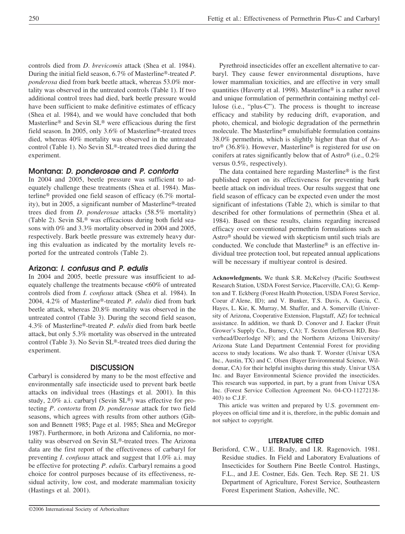controls died from *D*. *brevicomis* attack (Shea et al. 1984). During the initial field season, 6.7% of Masterline®-treated P. *ponderosa* died from bark beetle attack, whereas 53.0% mortality was observed in the untreated controls (Table 1). If two additional control trees had died, bark beetle pressure would have been sufficient to make definitive estimates of efficacy (Shea et al. 1984), and we would have concluded that both Masterline® and Sevin SL® were efficacious during the first field season. In 2005, only 3.6% of Masterline®-treated trees died, whereas 40% mortality was observed in the untreated control (Table 1). No Sevin SL®-treated trees died during the experiment.

## **Montana:** *D. ponderosae* **and** *P. contorta*

In 2004 and 2005, beetle pressure was sufficient to adequately challenge these treatments (Shea et al. 1984). Masterline<sup>®</sup> provided one field season of efficacy (6.7% mortality), but in 2005, a significant number of Masterline®-treated trees died from *D*. *ponderosae* attacks (58.5% mortality) (Table 2). Sevin SL® was efficacious during both field seasons with 0% and 3.3% mortality observed in 2004 and 2005, respectively. Bark beetle pressure was extremely heavy during this evaluation as indicated by the mortality levels reported for the untreated controls (Table 2).

## **Arizona:** *I. confusus* **and** *P. edulis*

In 2004 and 2005, beetle pressure was insufficient to adequately challenge the treatments because <60% of untreated controls died from *I. confusus* attack (Shea et al. 1984). In 2004, 4.2% of Masterline®-treated *P. edulis* died from bark beetle attack, whereas 20.8% mortality was observed in the untreated control (Table 3). During the second field season, 4.3% of Masterline®-treated *P. edulis* died from bark beetle attack, but only 5.3% mortality was observed in the untreated control (Table 3). No Sevin SL®-treated trees died during the experiment.

### **DISCUSSION**

Carbaryl is considered by many to be the most effective and environmentally safe insecticide used to prevent bark beetle attacks on individual trees (Hastings et al. 2001). In this study, 2.0% a.i. carbaryl (Sevin SL®) was effective for protecting *P*. *contorta* from *D*. *ponderosae* attack for two field seasons, which agrees with results from other authors (Gibson and Bennett 1985; Page et al. 1985; Shea and McGregor 1987). Furthermore, in both Arizona and California, no mortality was observed on Sevin SL®-treated trees. The Arizona data are the first report of the effectiveness of carbaryl for preventing *I*. *confusus* attack and suggest that 1.0% a.i. may be effective for protecting *P*. *edulis*. Carbaryl remains a good choice for control purposes because of its effectiveness, residual activity, low cost, and moderate mammalian toxicity (Hastings et al. 2001).

Pyrethroid insecticides offer an excellent alternative to carbaryl. They cause fewer environmental disruptions, have lower mammalian toxicities, and are effective in very small quantities (Haverty et al. 1998). Masterline® is a rather novel and unique formulation of permethrin containing methyl cellulose (i.e., "plus-C"). The process is thought to increase efficacy and stability by reducing drift, evaporation, and photo, chemical, and biologic degradation of the permethrin molecule. The Masterline® emulsifiable formulation contains 38.0% permethrin, which is slightly higher than that of Astro<sup>®</sup> (36.8%). However, Masterline<sup>®</sup> is registered for use on conifers at rates significantly below that of Astro® (i.e.,  $0.2\%$ versus 0.5%, respectively).

The data contained here regarding Masterline® is the first published report on its effectiveness for preventing bark beetle attack on individual trees. Our results suggest that one field season of efficacy can be expected even under the most significant of infestations (Table 2), which is similar to that described for other formulations of permethrin (Shea et al. 1984). Based on these results, claims regarding increased efficacy over conventional permethrin formulations such as Astro<sup>®</sup> should be viewed with skepticism until such trials are conducted. We conclude that Masterline® is an effective individual tree protection tool, but repeated annual applications will be necessary if multiyear control is desired.

**Acknowledgments.** We thank S.R. McKelvey (Pacific Southwest Research Station, USDA Forest Service, Placerville, CA); G. Kempton and T. Eckberg (Forest Health Protection, USDA Forest Service, Coeur d'Alene, ID); and V. Bunker, T.S. Davis, A. Garcia, C. Hayes, L. Kie, K. Murray, M. Shaffer, and A. Somerville (University of Arizona, Cooperative Extension, Flagstaff, AZ) for technical assistance. In addition, we thank D. Conover and J. Eacker (Fruit Grower's Supply Co., Burney, CA); T. Sexton (Jefferson RD, Beaverhead/Deerlodge NF); and the Northern Arizona University/ Arizona State Land Department Centennial Forest for providing access to study locations. We also thank T. Worster (Univar USA Inc., Austin, TX) and C. Olsen (Bayer Environmental Science, Wildomar, CA) for their helpful insights during this study. Univar USA Inc. and Bayer Environmental Science provided the insecticides. This research was supported, in part, by a grant from Univar USA Inc. (Forest Service Collection Agreement No. 04-CO-11272138- 403) to C.J.F.

This article was written and prepared by U.S. government employees on official time and it is, therefore, in the public domain and not subject to copyright.

## **LITERATURE CITED**

Berisford, C.W., U.E. Brady, and I.R. Ragenovich. 1981. Residue studies. In Field and Laboratory Evaluations of Insecticides for Southern Pine Beetle Control. Hastings, F.L., and J.E. Costner, Eds. Gen. Tech. Rep. SE 21. US Department of Agriculture, Forest Service, Southeastern Forest Experiment Station, Asheville, NC.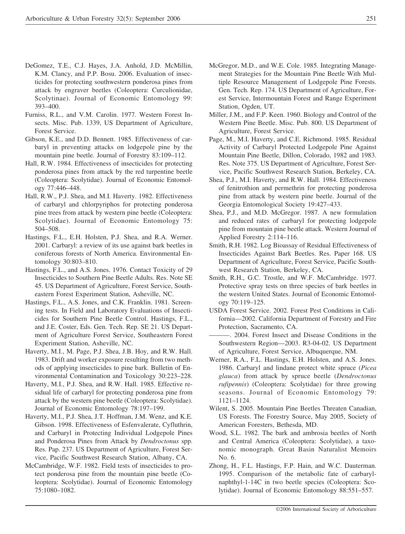- DeGomez, T.E., C.J. Hayes, J.A. Anhold, J.D. McMillin, K.M. Clancy, and P.P. Bosu. 2006. Evaluation of insecticides for protecting southwestern ponderosa pines from attack by engraver beetles (Coleoptera: Curculionidae, Scolytinae). Journal of Economic Entomology 99: 393–400.
- Furniss, R.L., and V.M. Carolin. 1977. Western Forest Insects. Misc. Pub. 1339, US Department of Agriculture, Forest Service.
- Gibson, K.E., and D.D. Bennett. 1985. Effectiveness of carbaryl in preventing attacks on lodgepole pine by the mountain pine beetle. Journal of Forestry 83:109–112.
- Hall, R.W. 1984. Effectiveness of insecticides for protecting ponderosa pines from attack by the red turpentine beetle (Coleoptera: Scolytidae). Journal of Economic Entomology 77:446–448.
- Hall, R.W., P.J. Shea, and M.I. Haverty. 1982. Effectiveness of carbaryl and chlorpyriphos for protecting ponderosa pine trees from attack by western pine beetle (Coleoptera: Scolytidae). Journal of Economic Entomology 75: 504–508.
- Hastings, F.L., E.H. Holsten, P.J. Shea, and R.A. Werner. 2001. Carbaryl: a review of its use against bark beetles in coniferous forests of North America. Environmental Entomology 30:803–810.
- Hastings, F.L., and A.S. Jones. 1976. Contact Toxicity of 29 Insecticides to Southern Pine Beetle Adults. Res. Note SE 45. US Department of Agriculture, Forest Service, Southeastern Forest Experiment Station, Asheville, NC.
- Hastings, F.L., A.S. Jones, and C.K. Franklin. 1981. Screening tests. In Field and Laboratory Evaluations of Insecticides for Southern Pine Beetle Control. Hastings, F.L., and J.E. Coster, Eds. Gen. Tech. Rep. SE 21. US Department of Agriculture Forest Service, Southeastern Forest Experiment Station, Asheville, NC.
- Haverty, M.I., M. Page, P.J. Shea, J.B. Hoy, and R.W. Hall. 1983. Drift and worker exposure resulting from two methods of applying insecticides to pine bark. Bulletin of Environmental Contamination and Toxicology 30:223–228.
- Haverty, M.I., P.J. Shea, and R.W. Hall. 1985. Effective residual life of carbaryl for protecting ponderosa pine from attack by the western pine beetle (Coleoptera: Scolytidae). Journal of Economic Entomology 78:197–199.
- Haverty, M.I., P.J. Shea, J.T. Hoffman, J.M. Wenz, and K.E. Gibson. 1998. Effectiveness of Esfenvalerate, Cyfluthrin, and Carbaryl in Protecting Individual Lodgepole Pines and Ponderosa Pines from Attack by *Dendroctonus* spp. Res. Pap. 237. US Department of Agriculture, Forest Service, Pacific Southwest Research Station, Albany, CA.
- McCambridge, W.F. 1982. Field tests of insecticides to protect ponderosa pine from the mountain pine beetle (Coleoptera: Scolytidae). Journal of Economic Entomology 75:1080–1082.
- McGregor, M.D., and W.E. Cole. 1985. Integrating Management Strategies for the Mountain Pine Beetle With Multiple Resource Management of Lodgepole Pine Forests. Gen. Tech. Rep. 174. US Department of Agriculture, Forest Service, Intermountain Forest and Range Experiment Station, Ogden, UT.
- Miller, J.M., and F.P. Keen. 1960. Biology and Control of the Western Pine Beetle. Misc. Pub. 800. US Department of Agriculture, Forest Service.
- Page, M., M.I. Haverty, and C.E. Richmond. 1985. Residual Activity of Carbaryl Protected Lodgepole Pine Against Mountain Pine Beetle, Dillon, Colorado, 1982 and 1983. Res. Note 375. US Department of Agriculture, Forest Service, Pacific Southwest Research Station, Berkeley, CA.
- Shea, P.J., M.I. Haverty, and R.W. Hall. 1984. Effectiveness of fenitrothion and permethrin for protecting ponderosa pine from attack by western pine beetle. Journal of the Georgia Entomological Society 19:427–433.
- Shea, P.J., and M.D. McGregor. 1987. A new formulation and reduced rates of carbaryl for protecting lodgepole pine from mountain pine beetle attack. Western Journal of Applied Forestry 2:114–116.
- Smith, R.H. 1982. Log Bioassay of Residual Effectiveness of Insecticides Against Bark Beetles. Res. Paper 168. US Department of Agriculture, Forest Service, Pacific Southwest Research Station, Berkeley, CA.
- Smith, R.H., G.C. Trostle, and W.F. McCambridge. 1977. Protective spray tests on three species of bark beetles in the western United States. Journal of Economic Entomology 70:119–125.
- USDA Forest Service. 2002. Forest Pest Conditions in California—2002. California Department of Forestry and Fire Protection, Sacramento, CA.
- ———. 2004. Forest Insect and Disease Conditions in the Southwestern Region—2003. R3-04-02. US Department of Agriculture, Forest Service, Albuquerque, NM.
- Werner, R.A., F.L. Hastings, E.H. Holsten, and A.S. Jones. 1986. Carbaryl and lindane protect white spruce (*Picea glauca*) from attack by spruce beetle (*Dendroctonus rufipennis*) (Coleoptera: Scolytidae) for three growing seasons. Journal of Economic Entomology 79: 1121–1124.
- Wilent, S. 2005. Mountain Pine Beetles Threaten Canadian, US Forests. The Forestry Source, May 2005, Society of American Foresters, Bethesda, MD.
- Wood, S.L. 1982. The bark and ambrosia beetles of North and Central America (Coleoptera: Scolytidae), a taxonomic monograph. Great Basin Naturalist Memoirs No. 6.
- Zhong, H., F.L. Hastings, F.P. Hain, and W.C. Dauterman. 1995. Comparison of the metabolic fate of carbarylnaphthyl-1-14C in two beetle species (Coleoptera: Scolytidae). Journal of Economic Entomology 88:551–557.